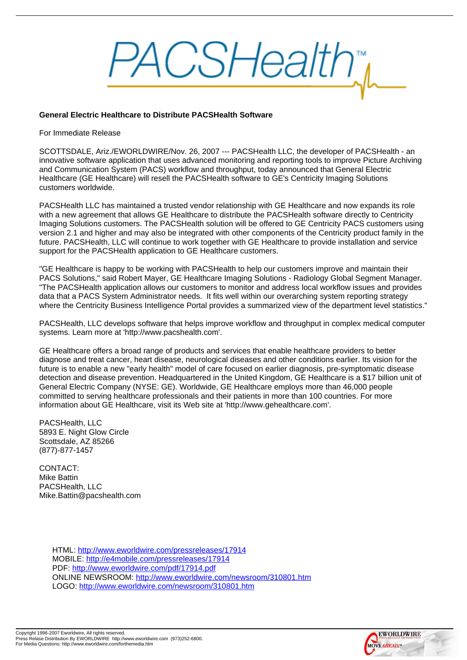## General Electric Healthcare to Distribute PACSHealth Software

## For Immediate Release

SCOTTSDALE, Ariz./EWORLDWIRE/Nov. 26, 2007 --- PACSHealth LLC, the developer of PACSHealth - an innovative software application that uses advanced monitoring and reporting tools to improve Picture Archiving and Communication System (PACS) workflow and throughput, today announced that General Electric Healthcare (GE Healthcare) will resell the PACSHealth software to GE's Centricity Imaging Solutions customers worldwide.

PACSHealth LLC has maintained a trusted vendor relationship with GE Healthcare and now expands its role with a new agreement that allows GE Healthcare to distribute the PACSHealth software directly to Centricity Imaging Solutions customers. The PACSHealth solution will be offered to GE Centricity PACS customers using version 2.1 and higher and may also be integrated with other components of the Centricity product family in the future. PACSHealth, LLC will continue to work together with GE Healthcare to provide installation and service support for the PACSHealth application to GE Healthcare customers.

"GE Healthcare is happy to be working with PACSHealth to help our customers improve and maintain their PACS Solutions," said Robert Mayer, GE Healthcare Imaging Solutions - Radiology Global Segment Manager. "The PACSHealth application allows our customers to monitor and address local workflow issues and provides data that a PACS System Administrator needs. It fits well within our overarching system reporting strategy where the Centricity Business Intelligence Portal provides a summarized view of the department level statistics."

PACSHealth, LLC develops software that helps improve workflow and throughput in complex medical computer systems. Learn more at 'http://www.pacshealth.com'.

GE Healthcare offers a broad range of products and services that enable healthcare providers to better diagnose and treat cancer, heart disease, neurological diseases and other conditions earlier. Its vision for the future is to enable a new "early health" model of care focused on earlier diagnosis, pre-symptomatic disease detection and disease prevention. Headquartered in the United Kingdom, GE Healthcare is a \$17 billion unit of General Electric Company (NYSE: GE). Worldwide, GE Healthcare employs more than 46,000 people committed to serving healthcare professionals and their patients in more than 100 countries. For more information about GE Healthcare, visit its Web site at 'http://www.gehealthcare.com'.

PACSHealth, LLC 5893 E. Night Glow Circle Scottsdale, AZ 85266 (877)-877-1457

CONTACT: Mike Battin PACSHealth, LLC Mike.Battin@pacshealth.com

> HTML: http://www.eworldwire.com/pressreleases/17914 MOBILE: http://e4mobile.com/pressreleases/17914 PDF: http://www.eworldwire.com/pdf/17914.pdf ONLINE NEWSROOM: http://www.eworldwire.com/newsroom/310801.htm LOGO: [http://www.eworldwire.com/newsroom/310801.ht](http://www.eworldwire.com/pressreleases/17914)m